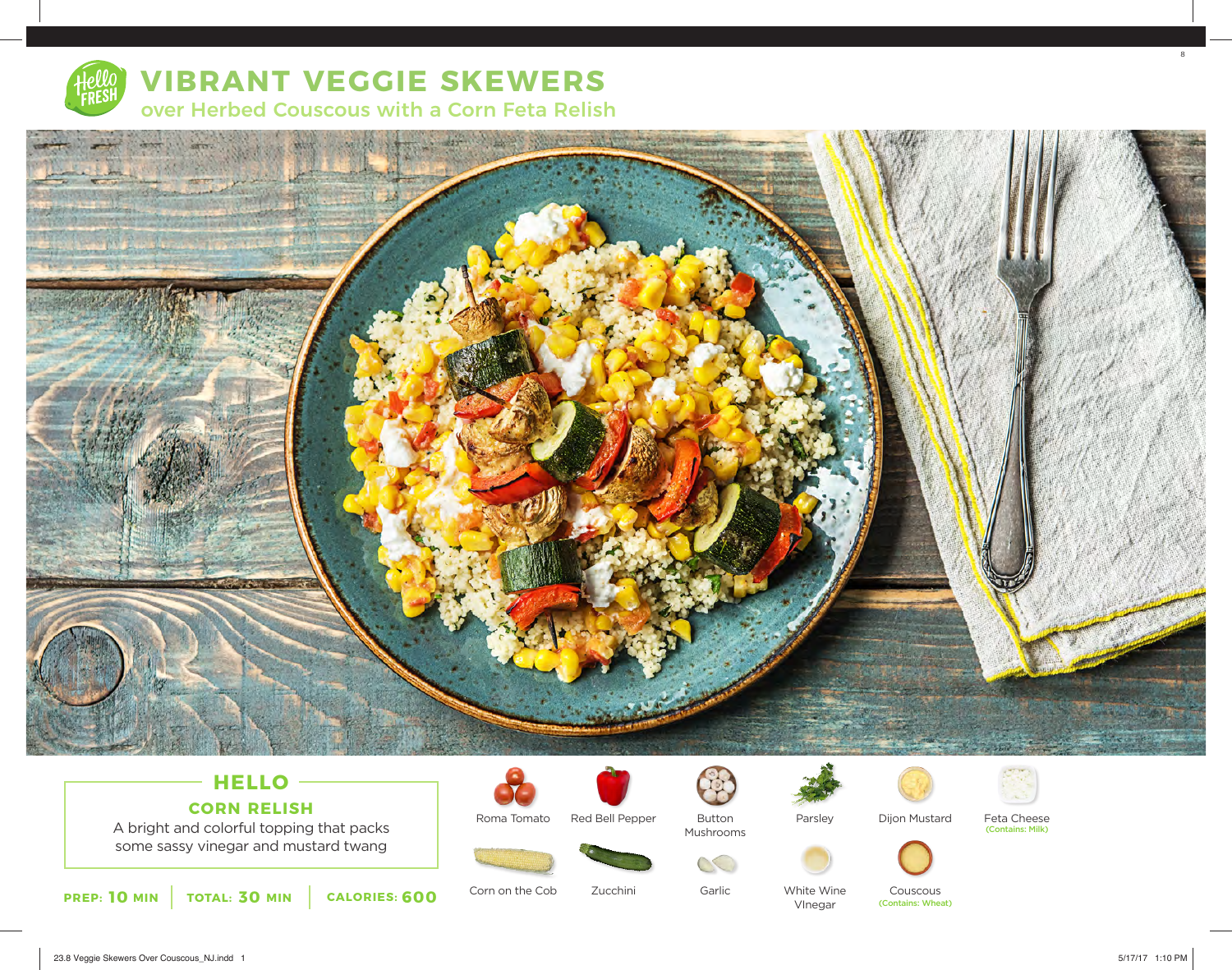

# **VIBRANT VEGGIE SKEWERS**  over Herbed Couscous with a Corn Feta Relish



### **HELLO CORN RELISH**

A bright and colorful topping that packs some sassy vinegar and mustard twang







Dijon Mustard

Feta Cheese (Contains: Milk)



Corn on the Cob Zucchini

Roma Tomato

Garlic

Button Mushrooms

 $CC$ 

White Wine VInegar

Couscous (Contains: Wheat)

8